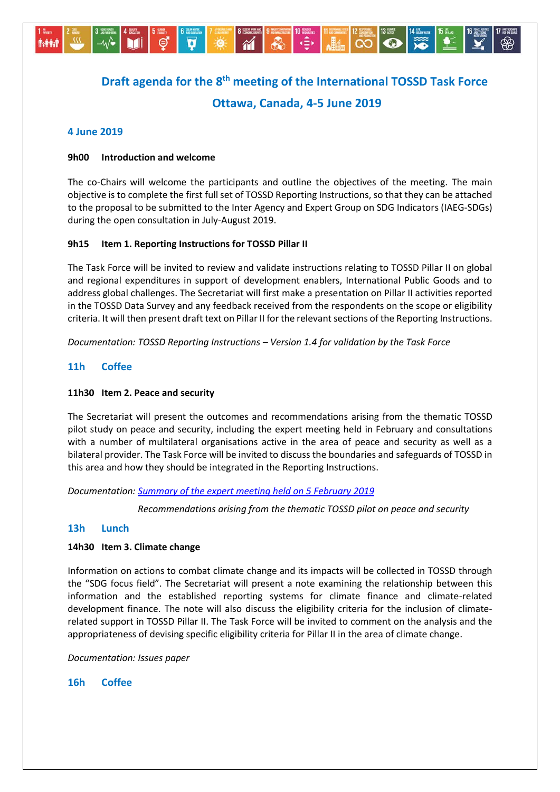

# **Draft agenda for the 8 th meeting of the International TOSSD Task Force Ottawa, Canada, 4-5 June 2019**

# **4 June 2019**

# **9h00 Introduction and welcome**

The co-Chairs will welcome the participants and outline the objectives of the meeting. The main objective is to complete the first full set of TOSSD Reporting Instructions, so that they can be attached to the proposal to be submitted to the Inter Agency and Expert Group on SDG Indicators (IAEG-SDGs) during the open consultation in July-August 2019.

# **9h15 Item 1. Reporting Instructions for TOSSD Pillar II**

The Task Force will be invited to review and validate instructions relating to TOSSD Pillar II on global and regional expenditures in support of development enablers, International Public Goods and to address global challenges. The Secretariat will first make a presentation on Pillar II activities reported in the TOSSD Data Survey and any feedback received from the respondents on the scope or eligibility criteria. It will then present draft text on Pillar II for the relevant sections of the Reporting Instructions.

*Documentation: TOSSD Reporting Instructions – Version 1.4 for validation by the Task Force*

# **11h Coffee**

## **11h30 Item 2. Peace and security**

The Secretariat will present the outcomes and recommendations arising from the thematic TOSSD pilot study on peace and security, including the expert meeting held in February and consultations with a number of multilateral organisations active in the area of peace and security as well as a bilateral provider. The Task Force will be invited to discuss the boundaries and safeguards of TOSSD in this area and how they should be integrated in the Reporting Instructions.

*Documentation[: Summary of the expert meeting held on 5 February 2019](http://www.oecd.org/dac/financing-sustainable-development/development-finance-standards/TOSSD%20%20peace%20and%20security%20-%20summary%20expert%20meeting.pdf)*

*Recommendations arising from the thematic TOSSD pilot on peace and security*

# **13h Lunch**

# **14h30 Item 3. Climate change**

Information on actions to combat climate change and its impacts will be collected in TOSSD through the "SDG focus field". The Secretariat will present a note examining the relationship between this information and the established reporting systems for climate finance and climate-related development finance. The note will also discuss the eligibility criteria for the inclusion of climaterelated support in TOSSD Pillar II. The Task Force will be invited to comment on the analysis and the appropriateness of devising specific eligibility criteria for Pillar II in the area of climate change.

*Documentation: Issues paper*

**16h Coffee**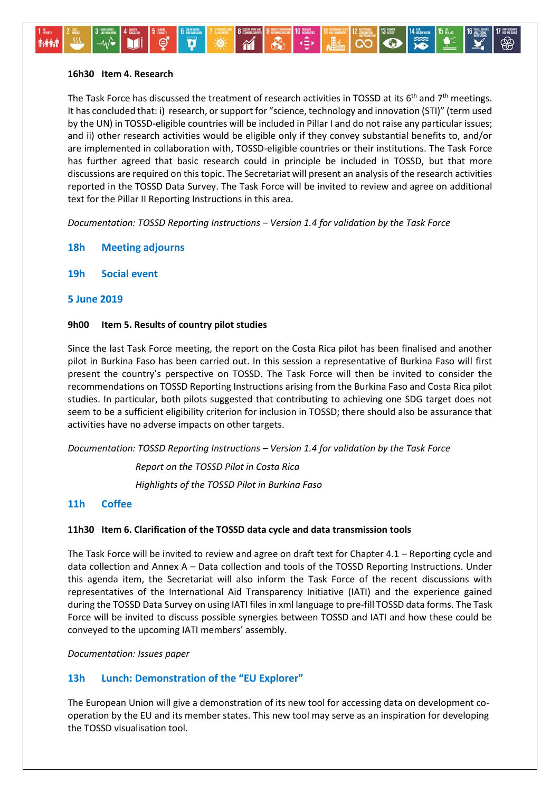#### **16h30 Item 4. Research**

⊸∧⁄ง

**Avenue** 

The Task Force has discussed the treatment of research activities in TOSSD at its 6<sup>th</sup> and 7<sup>th</sup> meetings. It has concluded that: i) research, or support for "science, technology and innovation (STI)" (term used by the UN) in TOSSD-eligible countries will be included in Pillar I and do not raise any particular issues; and ii) other research activities would be eligible only if they convey substantial benefits to, and/or are implemented in collaboration with, TOSSD-eligible countries or their institutions. The Task Force has further agreed that basic research could in principle be included in TOSSD, but that more discussions are required on this topic. The Secretariat will present an analysis of the research activities reported in the TOSSD Data Survey. The Task Force will be invited to review and agree on additional text for the Pillar II Reporting Instructions in this area.

ا∢≘∢

 $AB4$ 

 $\overline{\mathbf{0}}$ 

 $\infty$ 

*Documentation: TOSSD Reporting Instructions – Version 1.4 for validation by the Task Force*

÷Ö

 $\sim$ 

- **18h Meeting adjourns**
- **19h Social event**

## **5 June 2019**

#### **9h00 Item 5. Results of country pilot studies**

Since the last Task Force meeting, the report on the Costa Rica pilot has been finalised and another pilot in Burkina Faso has been carried out. In this session a representative of Burkina Faso will first present the country's perspective on TOSSD. The Task Force will then be invited to consider the recommendations on TOSSD Reporting Instructions arising from the Burkina Faso and Costa Rica pilot studies. In particular, both pilots suggested that contributing to achieving one SDG target does not seem to be a sufficient eligibility criterion for inclusion in TOSSD; there should also be assurance that activities have no adverse impacts on other targets.

*Documentation: TOSSD Reporting Instructions – Version 1.4 for validation by the Task Force*

*Report on the TOSSD Pilot in Costa Rica Highlights of the TOSSD Pilot in Burkina Faso*

# **11h Coffee**

# **11h30 Item 6. Clarification of the TOSSD data cycle and data transmission tools**

The Task Force will be invited to review and agree on draft text for Chapter 4.1 – Reporting cycle and data collection and Annex A – Data collection and tools of the TOSSD Reporting Instructions. Under this agenda item, the Secretariat will also inform the Task Force of the recent discussions with representatives of the International Aid Transparency Initiative (IATI) and the experience gained during the TOSSD Data Survey on using IATI files in xml language to pre-fill TOSSD data forms. The Task Force will be invited to discuss possible synergies between TOSSD and IATI and how these could be conveyed to the upcoming IATI members' assembly.

*Documentation: Issues paper*

# **13h Lunch: Demonstration of the "EU Explorer"**

The European Union will give a demonstration of its new tool for accessing data on development cooperation by the EU and its member states. This new tool may serve as an inspiration for developing the TOSSD visualisation tool.